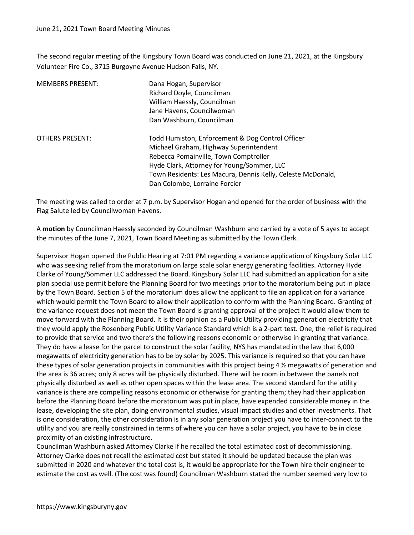The second regular meeting of the Kingsbury Town Board was conducted on June 21, 2021, at the Kingsbury Volunteer Fire Co., 3715 Burgoyne Avenue Hudson Falls, NY.

| <b>MEMBERS PRESENT:</b> | Dana Hogan, Supervisor<br>Richard Doyle, Councilman<br>William Haessly, Councilman<br>Jane Havens, Councilwoman<br>Dan Washburn, Councilman                                       |
|-------------------------|-----------------------------------------------------------------------------------------------------------------------------------------------------------------------------------|
| <b>OTHERS PRESENT:</b>  | Todd Humiston, Enforcement & Dog Control Officer<br>Michael Graham, Highway Superintendent<br>Rebecca Pomainville, Town Comptroller<br>Hyde Clark, Attorney for Young/Sommer, LLC |
|                         | Town Residents: Les Macura, Dennis Kelly, Celeste McDonald,<br>Dan Colombe, Lorraine Forcier                                                                                      |

The meeting was called to order at 7 p.m. by Supervisor Hogan and opened for the order of business with the Flag Salute led by Councilwoman Havens.

A motion by Councilman Haessly seconded by Councilman Washburn and carried by a vote of 5 ayes to accept the minutes of the June 7, 2021, Town Board Meeting as submitted by the Town Clerk.

Supervisor Hogan opened the Public Hearing at 7:01 PM regarding a variance application of Kingsbury Solar LLC who was seeking relief from the moratorium on large scale solar energy generating facilities. Attorney Hyde Clarke of Young/Sommer LLC addressed the Board. Kingsbury Solar LLC had submitted an application for a site plan special use permit before the Planning Board for two meetings prior to the moratorium being put in place by the Town Board. Section 5 of the moratorium does allow the applicant to file an application for a variance which would permit the Town Board to allow their application to conform with the Planning Board. Granting of the variance request does not mean the Town Board is granting approval of the project it would allow them to move forward with the Planning Board. It is their opinion as a Public Utility providing generation electricity that they would apply the Rosenberg Public Utility Variance Standard which is a 2-part test. One, the relief is required to provide that service and two there's the following reasons economic or otherwise in granting that variance. They do have a lease for the parcel to construct the solar facility, NYS has mandated in the law that 6,000 megawatts of electricity generation has to be by solar by 2025. This variance is required so that you can have these types of solar generation projects in communities with this project being 4 ½ megawatts of generation and the area is 36 acres; only 8 acres will be physically disturbed. There will be room in between the panels not physically disturbed as well as other open spaces within the lease area. The second standard for the utility variance is there are compelling reasons economic or otherwise for granting them; they had their application before the Planning Board before the moratorium was put in place, have expended considerable money in the lease, developing the site plan, doing environmental studies, visual impact studies and other investments. That is one consideration, the other consideration is in any solar generation project you have to inter-connect to the utility and you are really constrained in terms of where you can have a solar project, you have to be in close proximity of an existing infrastructure.

Councilman Washburn asked Attorney Clarke if he recalled the total estimated cost of decommissioning. Attorney Clarke does not recall the estimated cost but stated it should be updated because the plan was submitted in 2020 and whatever the total cost is, it would be appropriate for the Town hire their engineer to estimate the cost as well. (The cost was found) Councilman Washburn stated the number seemed very low to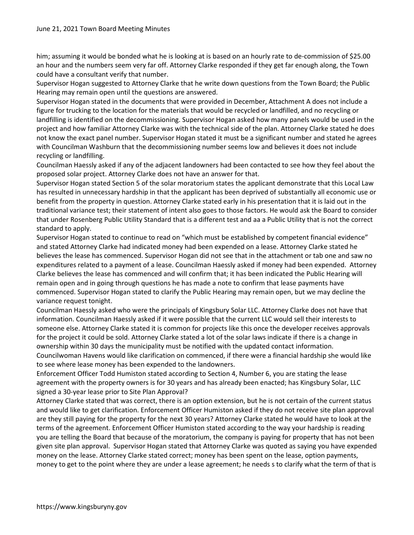him; assuming it would be bonded what he is looking at is based on an hourly rate to de-commission of \$25.00 an hour and the numbers seem very far off. Attorney Clarke responded if they get far enough along, the Town could have a consultant verify that number.

Supervisor Hogan suggested to Attorney Clarke that he write down questions from the Town Board; the Public Hearing may remain open until the questions are answered.

Supervisor Hogan stated in the documents that were provided in December, Attachment A does not include a figure for trucking to the location for the materials that would be recycled or landfilled, and no recycling or landfilling is identified on the decommissioning. Supervisor Hogan asked how many panels would be used in the project and how familiar Attorney Clarke was with the technical side of the plan. Attorney Clarke stated he does not know the exact panel number. Supervisor Hogan stated it must be a significant number and stated he agrees with Councilman Washburn that the decommissioning number seems low and believes it does not include recycling or landfilling.

Councilman Haessly asked if any of the adjacent landowners had been contacted to see how they feel about the proposed solar project. Attorney Clarke does not have an answer for that.

Supervisor Hogan stated Section 5 of the solar moratorium states the applicant demonstrate that this Local Law has resulted in unnecessary hardship in that the applicant has been deprived of substantially all economic use or benefit from the property in question. Attorney Clarke stated early in his presentation that it is laid out in the traditional variance test; their statement of intent also goes to those factors. He would ask the Board to consider that under Rosenberg Public Utility Standard that is a different test and aa a Public Utility that is not the correct standard to apply.

Supervisor Hogan stated to continue to read on "which must be established by competent financial evidence" and stated Attorney Clarke had indicated money had been expended on a lease. Attorney Clarke stated he believes the lease has commenced. Supervisor Hogan did not see that in the attachment or tab one and saw no expenditures related to a payment of a lease. Councilman Haessly asked if money had been expended. Attorney Clarke believes the lease has commenced and will confirm that; it has been indicated the Public Hearing will remain open and in going through questions he has made a note to confirm that lease payments have commenced. Supervisor Hogan stated to clarify the Public Hearing may remain open, but we may decline the variance request tonight.

Councilman Haessly asked who were the principals of Kingsbury Solar LLC. Attorney Clarke does not have that information. Councilman Haessly asked if it were possible that the current LLC would sell their interests to someone else. Attorney Clarke stated it is common for projects like this once the developer receives approvals for the project it could be sold. Attorney Clarke stated a lot of the solar laws indicate if there is a change in ownership within 30 days the municipality must be notified with the updated contact information.

Councilwoman Havens would like clarification on commenced, if there were a financial hardship she would like to see where lease money has been expended to the landowners.

Enforcement Officer Todd Humiston stated according to Section 4, Number 6, you are stating the lease agreement with the property owners is for 30 years and has already been enacted; has Kingsbury Solar, LLC signed a 30-year lease prior to Site Plan Approval?

Attorney Clarke stated that was correct, there is an option extension, but he is not certain of the current status and would like to get clarification. Enforcement Officer Humiston asked if they do not receive site plan approval are they still paying for the property for the next 30 years? Attorney Clarke stated he would have to look at the terms of the agreement. Enforcement Officer Humiston stated according to the way your hardship is reading you are telling the Board that because of the moratorium, the company is paying for property that has not been given site plan approval. Supervisor Hogan stated that Attorney Clarke was quoted as saying you have expended money on the lease. Attorney Clarke stated correct; money has been spent on the lease, option payments, money to get to the point where they are under a lease agreement; he needs s to clarify what the term of that is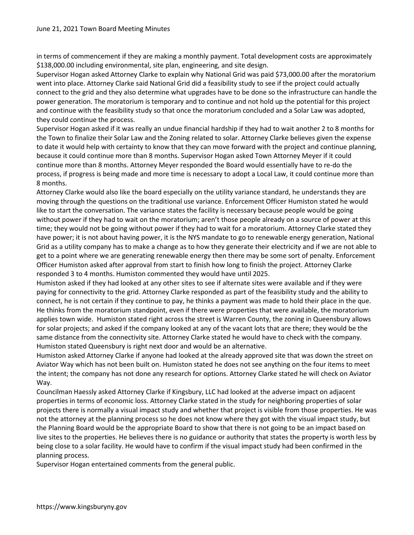in terms of commencement if they are making a monthly payment. Total development costs are approximately \$138,000.00 including environmental, site plan, engineering, and site design.

Supervisor Hogan asked Attorney Clarke to explain why National Grid was paid \$73,000.00 after the moratorium went into place. Attorney Clarke said National Grid did a feasibility study to see if the project could actually connect to the grid and they also determine what upgrades have to be done so the infrastructure can handle the power generation. The moratorium is temporary and to continue and not hold up the potential for this project and continue with the feasibility study so that once the moratorium concluded and a Solar Law was adopted, they could continue the process.

Supervisor Hogan asked if it was really an undue financial hardship if they had to wait another 2 to 8 months for the Town to finalize their Solar Law and the Zoning related to solar. Attorney Clarke believes given the expense to date it would help with certainty to know that they can move forward with the project and continue planning, because it could continue more than 8 months. Supervisor Hogan asked Town Attorney Meyer if it could continue more than 8 months. Attorney Meyer responded the Board would essentially have to re-do the process, if progress is being made and more time is necessary to adopt a Local Law, it could continue more than 8 months.

Attorney Clarke would also like the board especially on the utility variance standard, he understands they are moving through the questions on the traditional use variance. Enforcement Officer Humiston stated he would like to start the conversation. The variance states the facility is necessary because people would be going without power if they had to wait on the moratorium; aren't those people already on a source of power at this time; they would not be going without power if they had to wait for a moratorium. Attorney Clarke stated they have power; it is not about having power, it is the NYS mandate to go to renewable energy generation, National Grid as a utility company has to make a change as to how they generate their electricity and if we are not able to get to a point where we are generating renewable energy then there may be some sort of penalty. Enforcement Officer Humiston asked after approval from start to finish how long to finish the project. Attorney Clarke responded 3 to 4 months. Humiston commented they would have until 2025.

Humiston asked if they had looked at any other sites to see if alternate sites were available and if they were paying for connectivity to the grid. Attorney Clarke responded as part of the feasibility study and the ability to connect, he is not certain if they continue to pay, he thinks a payment was made to hold their place in the que. He thinks from the moratorium standpoint, even if there were properties that were available, the moratorium applies town wide. Humiston stated right across the street is Warren County, the zoning in Queensbury allows for solar projects; and asked if the company looked at any of the vacant lots that are there; they would be the same distance from the connectivity site. Attorney Clarke stated he would have to check with the company. Humiston stated Queensbury is right next door and would be an alternative.

Humiston asked Attorney Clarke if anyone had looked at the already approved site that was down the street on Aviator Way which has not been built on. Humiston stated he does not see anything on the four items to meet the intent; the company has not done any research for options. Attorney Clarke stated he will check on Aviator Way.

Councilman Haessly asked Attorney Clarke if Kingsbury, LLC had looked at the adverse impact on adjacent properties in terms of economic loss. Attorney Clarke stated in the study for neighboring properties of solar projects there is normally a visual impact study and whether that project is visible from those properties. He was not the attorney at the planning process so he does not know where they got with the visual impact study, but the Planning Board would be the appropriate Board to show that there is not going to be an impact based on live sites to the properties. He believes there is no guidance or authority that states the property is worth less by being close to a solar facility. He would have to confirm if the visual impact study had been confirmed in the planning process.

Supervisor Hogan entertained comments from the general public.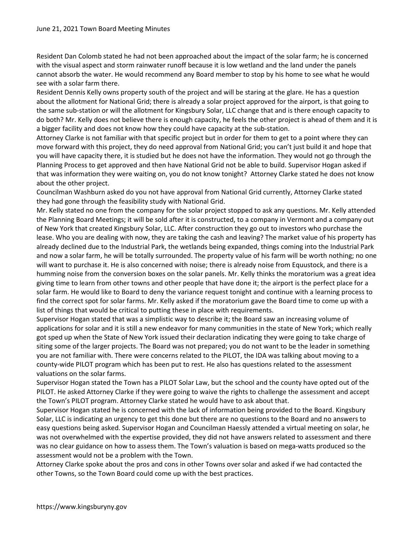Resident Dan Colomb stated he had not been approached about the impact of the solar farm; he is concerned with the visual aspect and storm rainwater runoff because it is low wetland and the land under the panels cannot absorb the water. He would recommend any Board member to stop by his home to see what he would see with a solar farm there.

Resident Dennis Kelly owns property south of the project and will be staring at the glare. He has a question about the allotment for National Grid; there is already a solar project approved for the airport, is that going to the same sub-station or will the allotment for Kingsbury Solar, LLC change that and is there enough capacity to do both? Mr. Kelly does not believe there is enough capacity, he feels the other project is ahead of them and it is a bigger facility and does not know how they could have capacity at the sub-station.

Attorney Clarke is not familiar with that specific project but in order for them to get to a point where they can move forward with this project, they do need approval from National Grid; you can't just build it and hope that you will have capacity there, it is studied but he does not have the information. They would not go through the Planning Process to get approved and then have National Grid not be able to build. Supervisor Hogan asked if that was information they were waiting on, you do not know tonight? Attorney Clarke stated he does not know about the other project.

Councilman Washburn asked do you not have approval from National Grid currently, Attorney Clarke stated they had gone through the feasibility study with National Grid.

Mr. Kelly stated no one from the company for the solar project stopped to ask any questions. Mr. Kelly attended the Planning Board Meetings; it will be sold after it is constructed, to a company in Vermont and a company out of New York that created Kingsbury Solar, LLC. After construction they go out to investors who purchase the lease. Who you are dealing with now, they are taking the cash and leaving? The market value of his property has already declined due to the Industrial Park, the wetlands being expanded, things coming into the Industrial Park and now a solar farm, he will be totally surrounded. The property value of his farm will be worth nothing; no one will want to purchase it. He is also concerned with noise; there is already noise from Equustock, and there is a humming noise from the conversion boxes on the solar panels. Mr. Kelly thinks the moratorium was a great idea giving time to learn from other towns and other people that have done it; the airport is the perfect place for a solar farm. He would like to Board to deny the variance request tonight and continue with a learning process to find the correct spot for solar farms. Mr. Kelly asked if the moratorium gave the Board time to come up with a list of things that would be critical to putting these in place with requirements.

Supervisor Hogan stated that was a simplistic way to describe it; the Board saw an increasing volume of applications for solar and it is still a new endeavor for many communities in the state of New York; which really got sped up when the State of New York issued their declaration indicating they were going to take charge of siting some of the larger projects. The Board was not prepared; you do not want to be the leader in something you are not familiar with. There were concerns related to the PILOT, the IDA was talking about moving to a county-wide PILOT program which has been put to rest. He also has questions related to the assessment valuations on the solar farms.

Supervisor Hogan stated the Town has a PILOT Solar Law, but the school and the county have opted out of the PILOT. He asked Attorney Clarke if they were going to waive the rights to challenge the assessment and accept the Town's PILOT program. Attorney Clarke stated he would have to ask about that.

Supervisor Hogan stated he is concerned with the lack of information being provided to the Board. Kingsbury Solar, LLC is indicating an urgency to get this done but there are no questions to the Board and no answers to easy questions being asked. Supervisor Hogan and Councilman Haessly attended a virtual meeting on solar, he was not overwhelmed with the expertise provided, they did not have answers related to assessment and there was no clear guidance on how to assess them. The Town's valuation is based on mega-watts produced so the assessment would not be a problem with the Town.

Attorney Clarke spoke about the pros and cons in other Towns over solar and asked if we had contacted the other Towns, so the Town Board could come up with the best practices.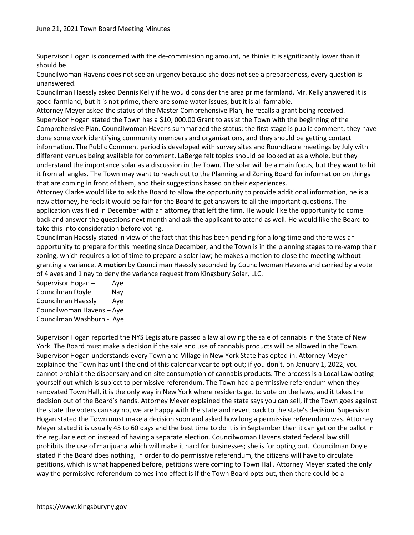Supervisor Hogan is concerned with the de-commissioning amount, he thinks it is significantly lower than it should be.

Councilwoman Havens does not see an urgency because she does not see a preparedness, every question is unanswered.

Councilman Haessly asked Dennis Kelly if he would consider the area prime farmland. Mr. Kelly answered it is good farmland, but it is not prime, there are some water issues, but it is all farmable.

Attorney Meyer asked the status of the Master Comprehensive Plan, he recalls a grant being received. Supervisor Hogan stated the Town has a \$10, 000.00 Grant to assist the Town with the beginning of the Comprehensive Plan. Councilwoman Havens summarized the status; the first stage is public comment, they have done some work identifying community members and organizations, and they should be getting contact information. The Public Comment period is developed with survey sites and Roundtable meetings by July with different venues being available for comment. LaBerge felt topics should be looked at as a whole, but they understand the importance solar as a discussion in the Town. The solar will be a main focus, but they want to hit it from all angles. The Town may want to reach out to the Planning and Zoning Board for information on things that are coming in front of them, and their suggestions based on their experiences.

Attorney Clarke would like to ask the Board to allow the opportunity to provide additional information, he is a new attorney, he feels it would be fair for the Board to get answers to all the important questions. The application was filed in December with an attorney that left the firm. He would like the opportunity to come back and answer the questions next month and ask the applicant to attend as well. He would like the Board to take this into consideration before voting.

Councilman Haessly stated in view of the fact that this has been pending for a long time and there was an opportunity to prepare for this meeting since December, and the Town is in the planning stages to re-vamp their zoning, which requires a lot of time to prepare a solar law; he makes a motion to close the meeting without granting a variance. A motion by Councilman Haessly seconded by Councilwoman Havens and carried by a vote of 4 ayes and 1 nay to deny the variance request from Kingsbury Solar, LLC.

Supervisor Hogan – Aye Councilman Doyle – Nay Councilman Haessly – Aye Councilwoman Havens – Aye Councilman Washburn - Aye

Supervisor Hogan reported the NYS Legislature passed a law allowing the sale of cannabis in the State of New York. The Board must make a decision if the sale and use of cannabis products will be allowed in the Town. Supervisor Hogan understands every Town and Village in New York State has opted in. Attorney Meyer explained the Town has until the end of this calendar year to opt-out; if you don't, on January 1, 2022, you cannot prohibit the dispensary and on-site consumption of cannabis products. The process is a Local Law opting yourself out which is subject to permissive referendum. The Town had a permissive referendum when they renovated Town Hall, it is the only way in New York where residents get to vote on the laws, and it takes the decision out of the Board's hands. Attorney Meyer explained the state says you can sell, if the Town goes against the state the voters can say no, we are happy with the state and revert back to the state's decision. Supervisor Hogan stated the Town must make a decision soon and asked how long a permissive referendum was. Attorney Meyer stated it is usually 45 to 60 days and the best time to do it is in September then it can get on the ballot in the regular election instead of having a separate election. Councilwoman Havens stated federal law still prohibits the use of marijuana which will make it hard for businesses; she is for opting out. Councilman Doyle stated if the Board does nothing, in order to do permissive referendum, the citizens will have to circulate petitions, which is what happened before, petitions were coming to Town Hall. Attorney Meyer stated the only way the permissive referendum comes into effect is if the Town Board opts out, then there could be a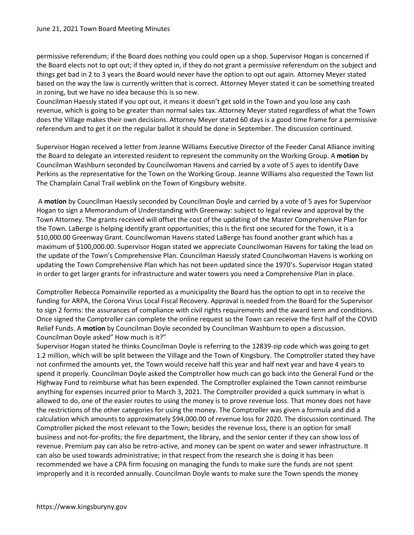permissive referendum; if the Board does nothing you could open up a shop. Supervisor Hogan is concerned if the Board elects not to opt out; if they opted in, if they do not grant a permissive referendum on the subject and things get bad in 2 to 3 years the Board would never have the option to opt out again. Attorney Meyer stated based on the way the law is currently written that is correct. Attorney Meyer stated it can be something treated in zoning, but we have no idea because this is so new.

Councilman Haessly stated if you opt out, it means it doesn't get sold in the Town and you lose any cash revenue, which is going to be greater than normal sales tax. Attorney Meyer stated regardless of what the Town does the Village makes their own decisions. Attorney Meyer stated 60 days is a good time frame for a permissive referendum and to get it on the regular ballot it should be done in September. The discussion continued.

Supervisor Hogan received a letter from Jeanne Williams Executive Director of the Feeder Canal Alliance inviting the Board to delegate an interested resident to represent the community on the Working Group. A motion by Councilman Washburn seconded by Councilwoman Havens and carried by a vote of 5 ayes to identify Dave Perkins as the representative for the Town on the Working Group. Jeanne Williams also requested the Town list The Champlain Canal Trail weblink on the Town of Kingsbury website.

 A motion by Councilman Haessly seconded by Councilman Doyle and carried by a vote of 5 ayes for Supervisor Hogan to sign a Memorandum of Understanding with Greenway: subject to legal review and approval by the Town Attorney. The grants received will offset the cost of the updating of the Master Comprehensive Plan for the Town. LaBerge is helping identify grant opportunities; this is the first one secured for the Town, it is a \$10,000.00 Greenway Grant. Councilwoman Havens stated LaBerge has found another grant which has a maximum of \$100,000.00. Supervisor Hogan stated we appreciate Councilwoman Havens for taking the lead on the update of the Town's Comprehensive Plan. Councilman Haessly stated Councilwoman Havens is working on updating the Town Comprehensive Plan which has not been updated since the 1970's. Supervisor Hogan stated in order to get larger grants for infrastructure and water towers you need a Comprehensive Plan in place.

Comptroller Rebecca Pomainville reported as a municipality the Board has the option to opt in to receive the funding for ARPA, the Corona Virus Local Fiscal Recovery. Approval is needed from the Board for the Supervisor to sign 2 forms: the assurances of compliance with civil rights requirements and the award term and conditions. Once signed the Comptroller can complete the online request so the Town can receive the first half of the COVID Relief Funds. A motion by Councilman Doyle seconded by Councilman Washburn to open a discussion. Councilman Doyle asked" How much is it?"

Supervisor Hogan stated he thinks Councilman Doyle is referring to the 12839-zip code which was going to get 1.2 million, which will be split between the Village and the Town of Kingsbury. The Comptroller stated they have not confirmed the amounts yet, the Town would receive half this year and half next year and have 4 years to spend it properly. Councilman Doyle asked the Comptroller how much can go back into the General Fund or the Highway Fund to reimburse what has been expended. The Comptroller explained the Town cannot reimburse anything for expenses incurred prior to March 3, 2021. The Comptroller provided a quick summary in what is allowed to do, one of the easier routes to using the money is to prove revenue loss. That money does not have the restrictions of the other categories for using the money. The Comptroller was given a formula and did a calculation which amounts to approximately \$94,000.00 of revenue loss for 2020. The discussion continued. The Comptroller picked the most relevant to the Town; besides the revenue loss, there is an option for small business and not-for-profits; the fire department, the library, and the senior center if they can show loss of revenue. Premium pay can also be retro-active, and money can be spent on water and sewer infrastructure. It can also be used towards administrative; in that respect from the research she is doing it has been recommended we have a CPA firm focusing on managing the funds to make sure the funds are not spent improperly and it is recorded annually. Councilman Doyle wants to make sure the Town spends the money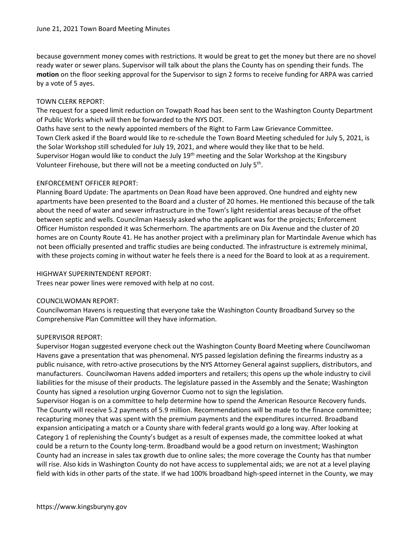because government money comes with restrictions. It would be great to get the money but there are no shovel ready water or sewer plans. Supervisor will talk about the plans the County has on spending their funds. The motion on the floor seeking approval for the Supervisor to sign 2 forms to receive funding for ARPA was carried by a vote of 5 ayes.

## TOWN CLERK REPORT:

The request for a speed limit reduction on Towpath Road has been sent to the Washington County Department of Public Works which will then be forwarded to the NYS DOT.

Oaths have sent to the newly appointed members of the Right to Farm Law Grievance Committee. Town Clerk asked if the Board would like to re-schedule the Town Board Meeting scheduled for July 5, 2021, is the Solar Workshop still scheduled for July 19, 2021, and where would they like that to be held. Supervisor Hogan would like to conduct the July 19<sup>th</sup> meeting and the Solar Workshop at the Kingsbury Volunteer Firehouse, but there will not be a meeting conducted on July 5<sup>th</sup>.

# ENFORCEMENT OFFICER REPORT:

Planning Board Update: The apartments on Dean Road have been approved. One hundred and eighty new apartments have been presented to the Board and a cluster of 20 homes. He mentioned this because of the talk about the need of water and sewer infrastructure in the Town's light residential areas because of the offset between septic and wells. Councilman Haessly asked who the applicant was for the projects; Enforcement Officer Humiston responded it was Schermerhorn. The apartments are on Dix Avenue and the cluster of 20 homes are on County Route 41. He has another project with a preliminary plan for Martindale Avenue which has not been officially presented and traffic studies are being conducted. The infrastructure is extremely minimal, with these projects coming in without water he feels there is a need for the Board to look at as a requirement.

### HIGHWAY SUPERINTENDENT REPORT:

Trees near power lines were removed with help at no cost.

# COUNCILWOMAN REPORT:

Councilwoman Havens is requesting that everyone take the Washington County Broadband Survey so the Comprehensive Plan Committee will they have information.

# SUPERVISOR REPORT:

Supervisor Hogan suggested everyone check out the Washington County Board Meeting where Councilwoman Havens gave a presentation that was phenomenal. NYS passed legislation defining the firearms industry as a public nuisance, with retro-active prosecutions by the NYS Attorney General against suppliers, distributors, and manufacturers. Councilwoman Havens added importers and retailers; this opens up the whole industry to civil liabilities for the misuse of their products. The legislature passed in the Assembly and the Senate; Washington County has signed a resolution urging Governor Cuomo not to sign the legislation.

Supervisor Hogan is on a committee to help determine how to spend the American Resource Recovery funds. The County will receive 5.2 payments of 5.9 million. Recommendations will be made to the finance committee; recapturing money that was spent with the premium payments and the expenditures incurred. Broadband expansion anticipating a match or a County share with federal grants would go a long way. After looking at Category 1 of replenishing the County's budget as a result of expenses made, the committee looked at what could be a return to the County long-term. Broadband would be a good return on investment; Washington County had an increase in sales tax growth due to online sales; the more coverage the County has that number will rise. Also kids in Washington County do not have access to supplemental aids; we are not at a level playing field with kids in other parts of the state. If we had 100% broadband high-speed internet in the County, we may